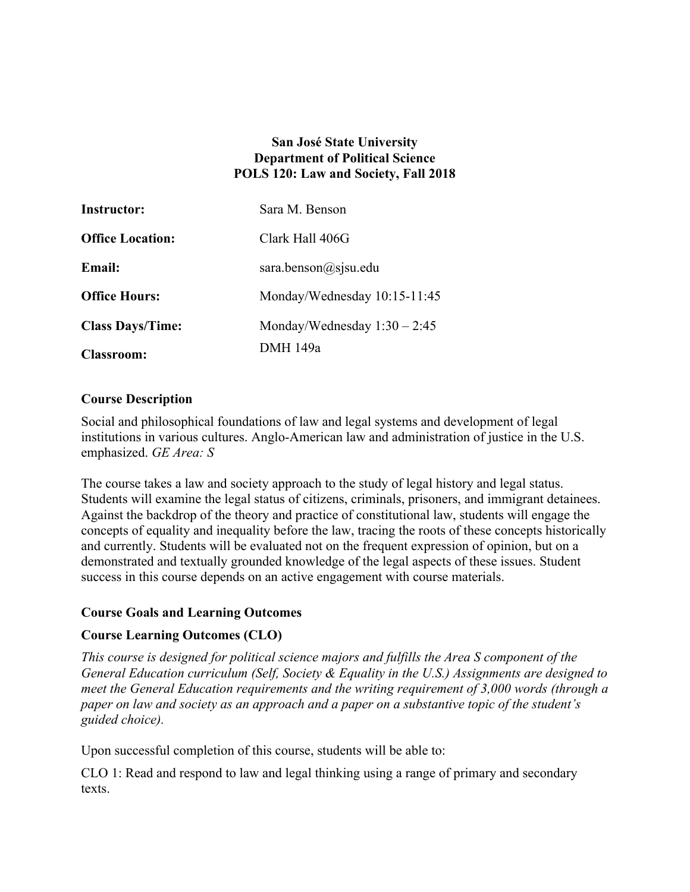### **San José State University Department of Political Science POLS 120: Law and Society, Fall 2018**

| <b>Instructor:</b>      | Sara M. Benson                 |
|-------------------------|--------------------------------|
| <b>Office Location:</b> | Clark Hall 406G                |
| <b>Email:</b>           | sara.benson@sjsu.edu           |
| <b>Office Hours:</b>    | Monday/Wednesday 10:15-11:45   |
| <b>Class Days/Time:</b> | Monday/Wednesday $1:30 - 2:45$ |
| <b>Classroom:</b>       | <b>DMH</b> 149a                |

#### **Course Description**

Social and philosophical foundations of law and legal systems and development of legal institutions in various cultures. Anglo-American law and administration of justice in the U.S. emphasized. *GE Area: S* 

The course takes a law and society approach to the study of legal history and legal status. Students will examine the legal status of citizens, criminals, prisoners, and immigrant detainees. Against the backdrop of the theory and practice of constitutional law, students will engage the concepts of equality and inequality before the law, tracing the roots of these concepts historically and currently. Students will be evaluated not on the frequent expression of opinion, but on a demonstrated and textually grounded knowledge of the legal aspects of these issues. Student success in this course depends on an active engagement with course materials.

### **Course Goals and Learning Outcomes**

### **Course Learning Outcomes (CLO)**

*This course is designed for political science majors and fulfills the Area S component of the General Education curriculum (Self, Society & Equality in the U.S.) Assignments are designed to meet the General Education requirements and the writing requirement of 3,000 words (through a paper on law and society as an approach and a paper on a substantive topic of the student's guided choice).* 

Upon successful completion of this course, students will be able to:

CLO 1: Read and respond to law and legal thinking using a range of primary and secondary texts.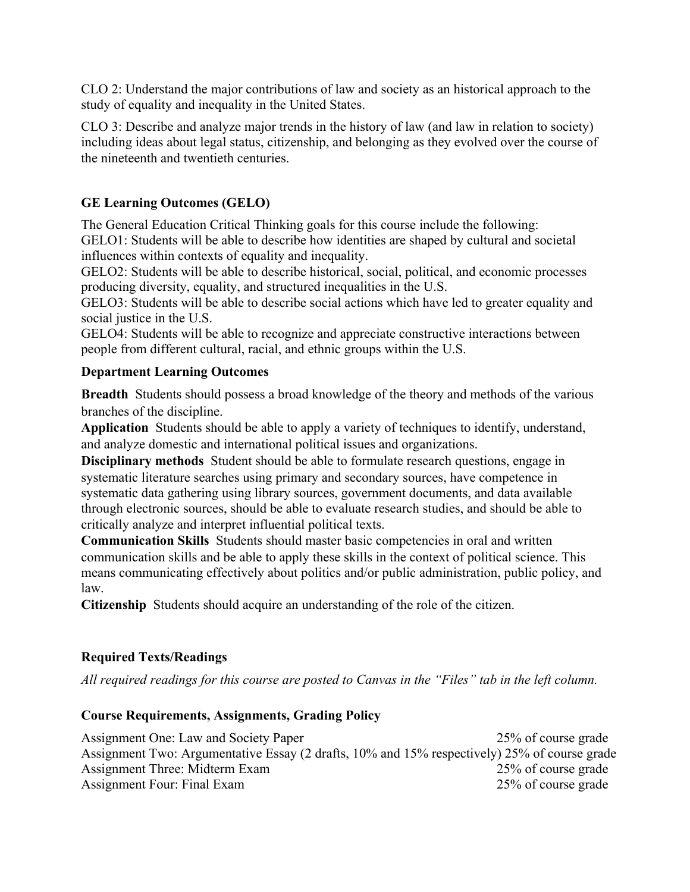CLO 2: Understand the major contributions of law and society as an historical approach to the study of equality and inequality in the United States.

CLO 3: Describe and analyze major trends in the history of law (and law in relation to society) including ideas about legal status, citizenship, and belonging as they evolved over the course of the nineteenth and twentieth centuries.

# **GE Learning Outcomes (GELO)**

The General Education Critical Thinking goals for this course include the following:

GELO1: Students will be able to describe how identities are shaped by cultural and societal influences within contexts of equality and inequality.

GELO2: Students will be able to describe historical, social, political, and economic processes producing diversity, equality, and structured inequalities in the U.S.

GELO3: Students will be able to describe social actions which have led to greater equality and social justice in the U.S.

GELO4: Students will be able to recognize and appreciate constructive interactions between people from different cultural, racial, and ethnic groups within the U.S.

# **Department Learning Outcomes**

**Breadth** Students should possess a broad knowledge of the theory and methods of the various branches of the discipline.

**Application** Students should be able to apply a variety of techniques to identify, understand, and analyze domestic and international political issues and organizations.

**Disciplinary methods** Student should be able to formulate research questions, engage in systematic literature searches using primary and secondary sources, have competence in systematic data gathering using library sources, government documents, and data available through electronic sources, should be able to evaluate research studies, and should be able to critically analyze and interpret influential political texts.

**Communication Skills** Students should master basic competencies in oral and written communication skills and be able to apply these skills in the context of political science. This means communicating effectively about politics and/or public administration, public policy, and law.

**Citizenship** Students should acquire an understanding of the role of the citizen.

# **Required Texts/Readings**

*All required readings for this course are posted to Canvas in the "Files" tab in the left column.* 

# **Course Requirements, Assignments, Grading Policy**

Assignment One: Law and Society Paper 25% of course grade Assignment Two: Argumentative Essay (2 drafts, 10% and 15% respectively) 25% of course grade Assignment Three: Midterm Exam 25% of course grade Assignment Four: Final Exam 25% of course grade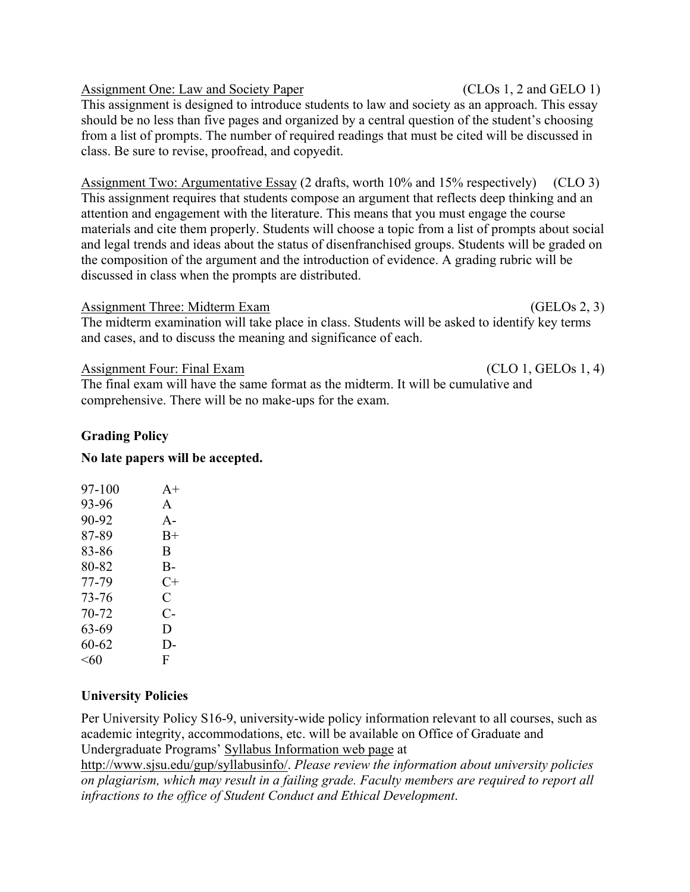| <b>Assignment One: Law and Society Paper</b>                                                       | (CLOs 1, 2 and GELO 1) |
|----------------------------------------------------------------------------------------------------|------------------------|
| This assignment is designed to introduce students to law and society as an approach. This essay    |                        |
| should be no less than five pages and organized by a central question of the student's choosing    |                        |
| from a list of prompts. The number of required readings that must be cited will be discussed in    |                        |
| class. Be sure to revise, proofread, and copyedit.                                                 |                        |
|                                                                                                    |                        |
| Assignment Two: Aroumentative Essay (2 drafts, worth $10\%$ and $15\%$ respectively) (CI $\cap$ 3) |                        |

Assignment Two: Argumentative Essay (2 drafts, worth 10% and 15% respectively) (CLO 3) This assignment requires that students compose an argument that reflects deep thinking and an attention and engagement with the literature. This means that you must engage the course materials and cite them properly. Students will choose a topic from a list of prompts about social and legal trends and ideas about the status of disenfranchised groups. Students will be graded on the composition of the argument and the introduction of evidence. A grading rubric will be discussed in class when the prompts are distributed.

#### Assignment Three: Midterm Exam (GELOS 2, 3)

The midterm examination will take place in class. Students will be asked to identify key terms and cases, and to discuss the meaning and significance of each.

#### Assignment Four: Final Exam (CLO 1, GELOs 1, 4)

The final exam will have the same format as the midterm. It will be cumulative and comprehensive. There will be no make-ups for the exam.

#### **Grading Policy**

#### **No late papers will be accepted.**

| 97-100 | $A +$ |
|--------|-------|
| 93-96  | A     |
| 90-92  | $A -$ |
| 87-89  | $B+$  |
| 83-86  | B     |
| 80-82  | В-    |
| 77-79  | $C+$  |
| 73-76  | C     |
| 70-72  | C-    |
| 63-69  | D     |
| 60-62  | D-    |
| <60    | F     |
|        |       |

#### **University Policies**

Per University Policy S16-9, university-wide policy information relevant to all courses, such as academic integrity, accommodations, etc. will be available on Office of Graduate and Undergraduate Programs' Syllabus Information web page at

http://www.sjsu.edu/gup/syllabusinfo/. *Please review the information about university policies on plagiarism, which may result in a failing grade. Faculty members are required to report all infractions to the office of Student Conduct and Ethical Development*.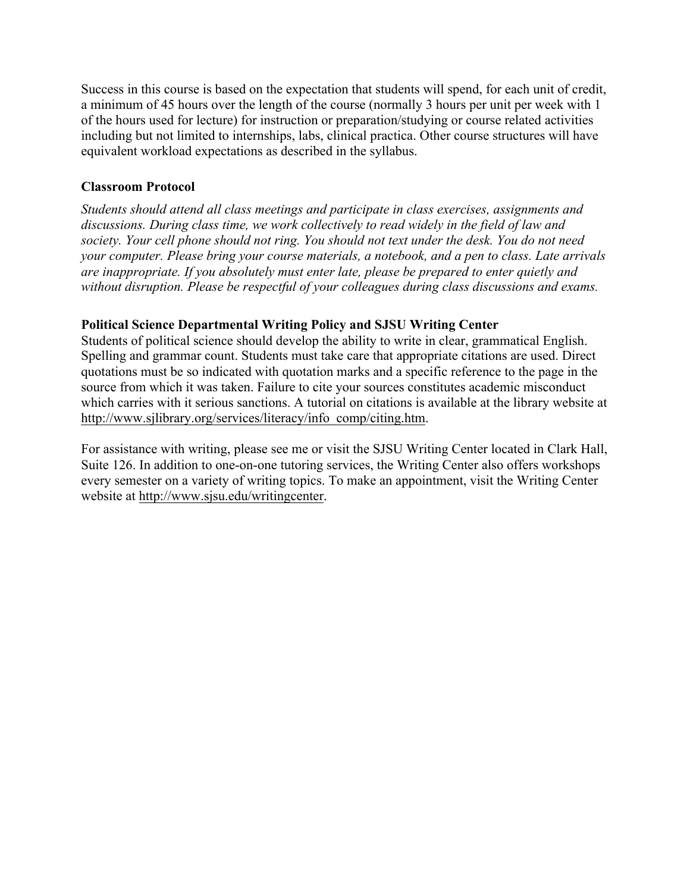Success in this course is based on the expectation that students will spend, for each unit of credit, a minimum of 45 hours over the length of the course (normally 3 hours per unit per week with 1 of the hours used for lecture) for instruction or preparation/studying or course related activities including but not limited to internships, labs, clinical practica. Other course structures will have equivalent workload expectations as described in the syllabus.

### **Classroom Protocol**

*Students should attend all class meetings and participate in class exercises, assignments and discussions. During class time, we work collectively to read widely in the field of law and society. Your cell phone should not ring. You should not text under the desk. You do not need your computer. Please bring your course materials, a notebook, and a pen to class. Late arrivals are inappropriate. If you absolutely must enter late, please be prepared to enter quietly and without disruption. Please be respectful of your colleagues during class discussions and exams.* 

### **Political Science Departmental Writing Policy and SJSU Writing Center**

Students of political science should develop the ability to write in clear, grammatical English. Spelling and grammar count. Students must take care that appropriate citations are used. Direct quotations must be so indicated with quotation marks and a specific reference to the page in the source from which it was taken. Failure to cite your sources constitutes academic misconduct which carries with it serious sanctions. A tutorial on citations is available at the library website at http://www.sjlibrary.org/services/literacy/info\_comp/citing.htm.

For assistance with writing, please see me or visit the SJSU Writing Center located in Clark Hall, Suite 126. In addition to one-on-one tutoring services, the Writing Center also offers workshops every semester on a variety of writing topics. To make an appointment, visit the Writing Center website at http://www.sjsu.edu/writingcenter.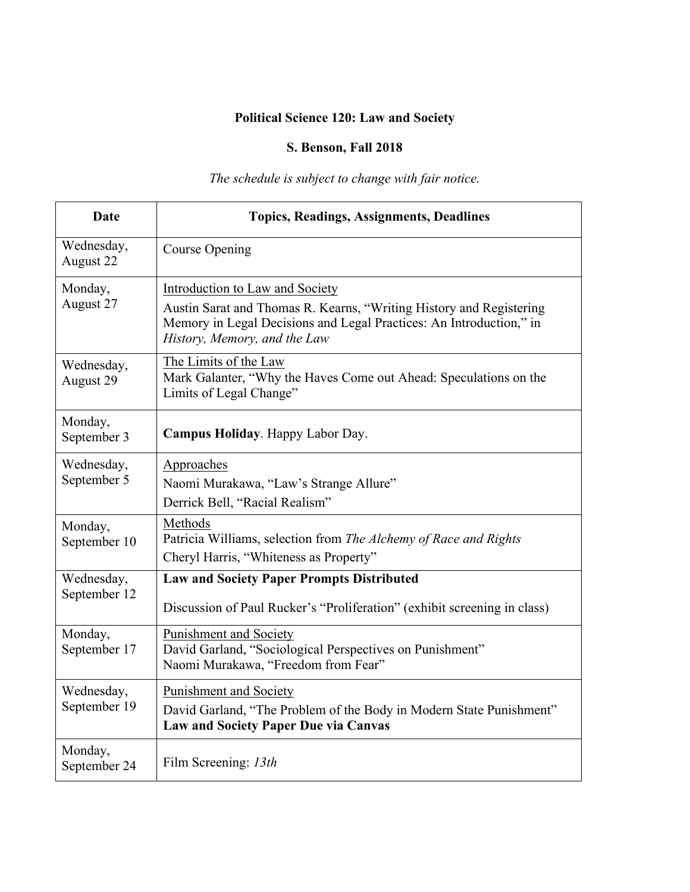# **Political Science 120: Law and Society**

## **S. Benson, Fall 2018**

*The schedule is subject to change with fair notice.*

| <b>Date</b>                | <b>Topics, Readings, Assignments, Deadlines</b>                                                                                                                            |
|----------------------------|----------------------------------------------------------------------------------------------------------------------------------------------------------------------------|
| Wednesday,<br>August 22    | Course Opening                                                                                                                                                             |
| Monday,<br>August 27       | Introduction to Law and Society                                                                                                                                            |
|                            | Austin Sarat and Thomas R. Kearns, "Writing History and Registering<br>Memory in Legal Decisions and Legal Practices: An Introduction," in<br>History, Memory, and the Law |
| Wednesday,<br>August 29    | The Limits of the Law<br>Mark Galanter, "Why the Haves Come out Ahead: Speculations on the<br>Limits of Legal Change"                                                      |
| Monday,<br>September 3     | Campus Holiday. Happy Labor Day.                                                                                                                                           |
| Wednesday,                 | Approaches                                                                                                                                                                 |
| September 5                | Naomi Murakawa, "Law's Strange Allure"                                                                                                                                     |
|                            | Derrick Bell, "Racial Realism"                                                                                                                                             |
| Monday,<br>September 10    | Methods<br>Patricia Williams, selection from The Alchemy of Race and Rights<br>Cheryl Harris, "Whiteness as Property"                                                      |
| Wednesday,                 | <b>Law and Society Paper Prompts Distributed</b>                                                                                                                           |
| September 12               | Discussion of Paul Rucker's "Proliferation" (exhibit screening in class)                                                                                                   |
| Monday,<br>September 17    | Punishment and Society<br>David Garland, "Sociological Perspectives on Punishment"<br>Naomi Murakawa, "Freedom from Fear"                                                  |
| Wednesday,<br>September 19 | <b>Punishment and Society</b>                                                                                                                                              |
|                            | David Garland, "The Problem of the Body in Modern State Punishment"<br><b>Law and Society Paper Due via Canvas</b>                                                         |
| Monday,<br>September 24    | Film Screening: 13th                                                                                                                                                       |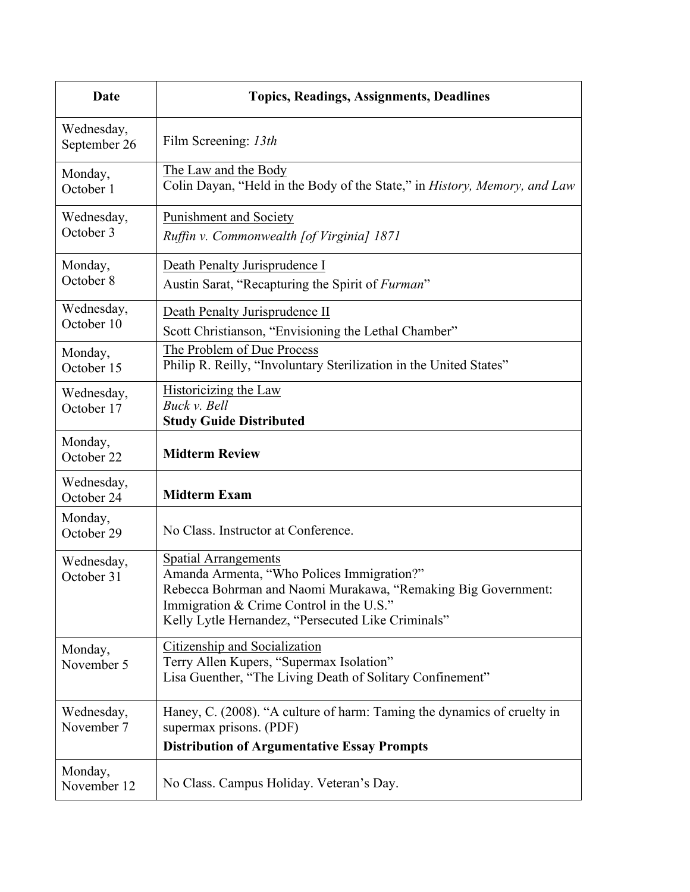| Date                       | <b>Topics, Readings, Assignments, Deadlines</b>                                                                                                                                                                                              |
|----------------------------|----------------------------------------------------------------------------------------------------------------------------------------------------------------------------------------------------------------------------------------------|
| Wednesday,<br>September 26 | Film Screening: 13th                                                                                                                                                                                                                         |
| Monday,<br>October 1       | The Law and the Body<br>Colin Dayan, "Held in the Body of the State," in History, Memory, and Law                                                                                                                                            |
| Wednesday,<br>October 3    | <b>Punishment and Society</b><br>Ruffin v. Commonwealth [of Virginia] 1871                                                                                                                                                                   |
| Monday,<br>October 8       | Death Penalty Jurisprudence I<br>Austin Sarat, "Recapturing the Spirit of <i>Furman</i> "                                                                                                                                                    |
| Wednesday,<br>October 10   | Death Penalty Jurisprudence II<br>Scott Christianson, "Envisioning the Lethal Chamber"                                                                                                                                                       |
| Monday,<br>October 15      | The Problem of Due Process<br>Philip R. Reilly, "Involuntary Sterilization in the United States"                                                                                                                                             |
| Wednesday,<br>October 17   | Historicizing the Law<br>Buck v. Bell<br><b>Study Guide Distributed</b>                                                                                                                                                                      |
| Monday,<br>October 22      | <b>Midterm Review</b>                                                                                                                                                                                                                        |
| Wednesday,<br>October 24   | <b>Midterm Exam</b>                                                                                                                                                                                                                          |
| Monday,<br>October 29      | No Class. Instructor at Conference.                                                                                                                                                                                                          |
| Wednesday,<br>October 31   | <b>Spatial Arrangements</b><br>Amanda Armenta, "Who Polices Immigration?"<br>Rebecca Bohrman and Naomi Murakawa, "Remaking Big Government:<br>Immigration & Crime Control in the U.S."<br>Kelly Lytle Hernandez, "Persecuted Like Criminals" |
| Monday,<br>November 5      | Citizenship and Socialization<br>Terry Allen Kupers, "Supermax Isolation"<br>Lisa Guenther, "The Living Death of Solitary Confinement"                                                                                                       |
| Wednesday,<br>November 7   | Haney, C. (2008). "A culture of harm: Taming the dynamics of cruelty in<br>supermax prisons. (PDF)<br><b>Distribution of Argumentative Essay Prompts</b>                                                                                     |
| Monday,<br>November 12     | No Class. Campus Holiday. Veteran's Day.                                                                                                                                                                                                     |